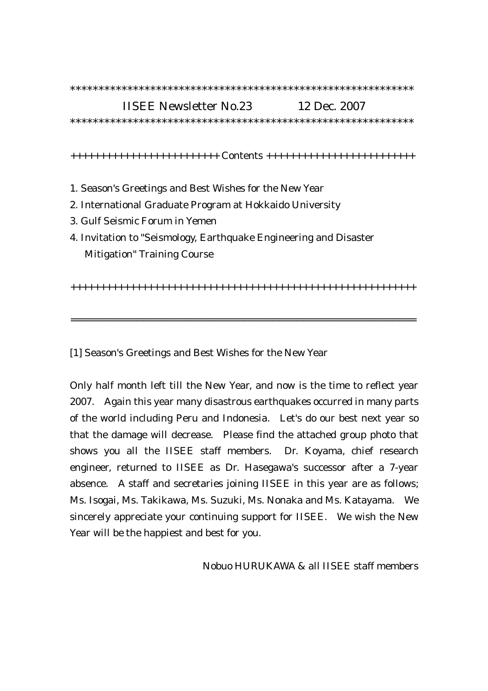## IISEE Newsletter No.23 12 Dec. 2007 \*\*\*\*\*\*\*\*\*\*\*\*\*\*\*\*\*\*\*\*\*\*\*\*\*\*\*\*\*\*\*\*\*\*\*\*\*\*\*\*\*\*\*\*\*\*\*\*\*\*\*\*\*\*\*\*\*\*\*\*

\*\*\*\*\*\*\*\*\*\*\*\*\*\*\*\*\*\*\*\*\*\*\*\*\*\*\*\*\*\*\*\*\*\*\*\*\*\*\*\*\*\*\*\*\*\*\*\*\*\*\*\*\*\*\*\*\*\*\*\*

+++++++++++++++++++++++++ Contents +++++++++++++++++++++++++

- 1. Season's Greetings and Best Wishes for the New Year
- 2. International Graduate Program at Hokkaido University
- 3. Gulf Seismic Forum in Yemen
- 4. Invitation to "Seismology, Earthquake Engineering and Disaster Mitigation" Training Course

++++++++++++++++++++++++++++++++++++++++++++++++++++++++++

==========================================================

[1] Season's Greetings and Best Wishes for the New Year

Only half month left till the New Year, and now is the time to reflect year 2007. Again this year many disastrous earthquakes occurred in many parts of the world including Peru and Indonesia. Let's do our best next year so that the damage will decrease. Please find the attached group photo that shows you all the IISEE staff members. Dr. Koyama, chief research engineer, returned to IISEE as Dr. Hasegawa's successor after a 7-year absence. A staff and secretaries joining IISEE in this year are as follows; Ms. Isogai, Ms. Takikawa, Ms. Suzuki, Ms. Nonaka and Ms. Katayama. We sincerely appreciate your continuing support for IISEE. We wish the New Year will be the happiest and best for you.

Nobuo HURUKAWA & all IISEE staff members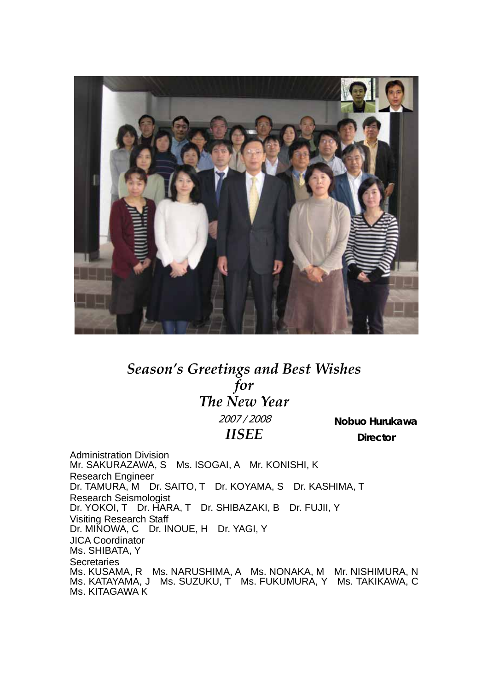

## *Season's Greetings and Best Wishes for The New Year* 2007 / 2008

*IISEE*

*Nobuo Hurukawa Director* 

Administration Division Mr. SAKURAZAWA, S Ms. ISOGAI, A Mr. KONISHI, K Research Engineer Dr. TAMURA, M Dr. SAITO, T Dr. KOYAMA, S Dr. KASHIMA, T Research Seismologist Dr. YOKOI, T Dr. HARA, T Dr. SHIBAZAKI, B Dr. FUJII, Y Visiting Research Staff Dr. MINOWA, C Dr. INOUE, H Dr. YAGI, Y JICA Coordinator Ms. SHIBATA, Y **Secretaries** Ms. KUSAMA, R Ms. NARUSHIMA, A Ms. NONAKA, M Mr. NISHIMURA, N Ms. KATAYAMA, J Ms. SUZUKU, T Ms. FUKUMURA, Y Ms. TAKIKAWA, C Ms. KITAGAWA K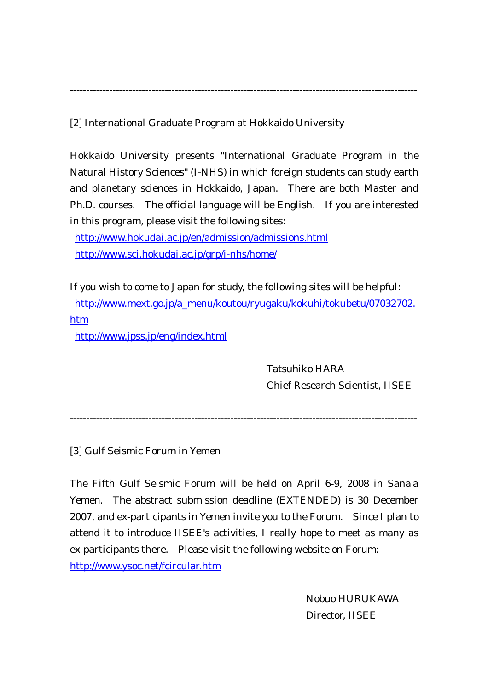----------------------------------------------------------------------------------------------------------

[2] International Graduate Program at Hokkaido University

Hokkaido University presents "International Graduate Program in the Natural History Sciences" (I-NHS) in which foreign students can study earth and planetary sciences in Hokkaido, Japan. There are both Master and Ph.D. courses. The official language will be English. If you are interested in this program, please visit the following sites:

<http://www.hokudai.ac.jp/en/admission/admissions.html> <http://www.sci.hokudai.ac.jp/grp/i-nhs/home/>

If you wish to come to Japan for study, the following sites will be helpful: [http://www.mext.go.jp/a\\_menu/koutou/ryugaku/kokuhi/tokubetu/07032702.](http://www.mext.go.jp/a_menu/koutou/ryugaku/kokuhi/tokubetu/07032702.htm) htm

<http://www.jpss.jp/eng/index.html>

Tatsuhiko HARA Chief Research Scientist, IISEE

----------------------------------------------------------------------------------------------------------

[3] Gulf Seismic Forum in Yemen

The Fifth Gulf Seismic Forum will be held on April 6-9, 2008 in Sana'a Yemen. The abstract submission deadline (EXTENDED) is 30 December 2007, and ex-participants in Yemen invite you to the Forum. Since I plan to attend it to introduce IISEE's activities, I really hope to meet as many as ex-participants there. Please visit the following website on Forum: <http://www.ysoc.net/fcircular.htm>

> Nobuo HURUKAWA Director, IISEE